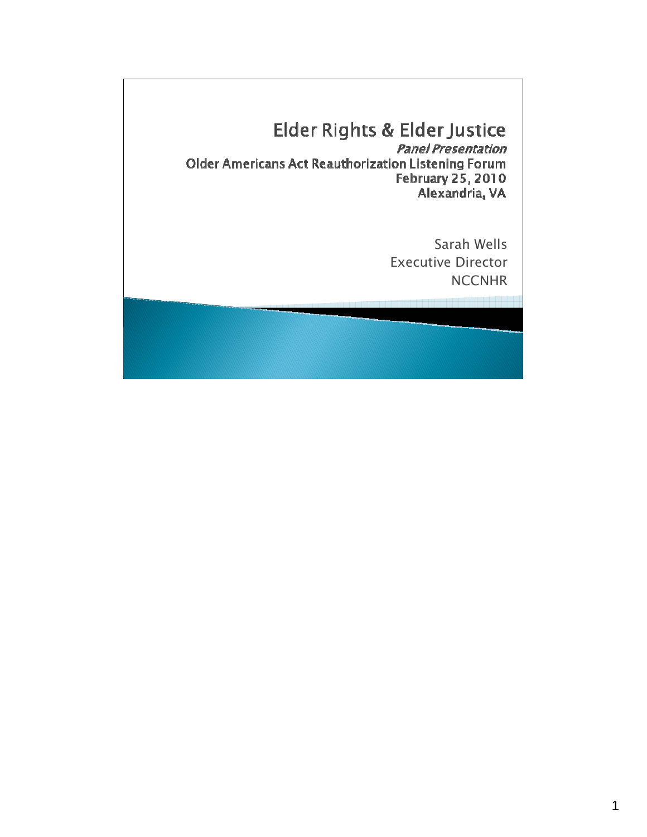# Elder Rights & Elder Justice

**Panel Presentation** Older Americans Act Reauthorization Listening Forum **February 25, 2010** Alexandria, VA

> Sarah Wells Executive Director **NCCNHR**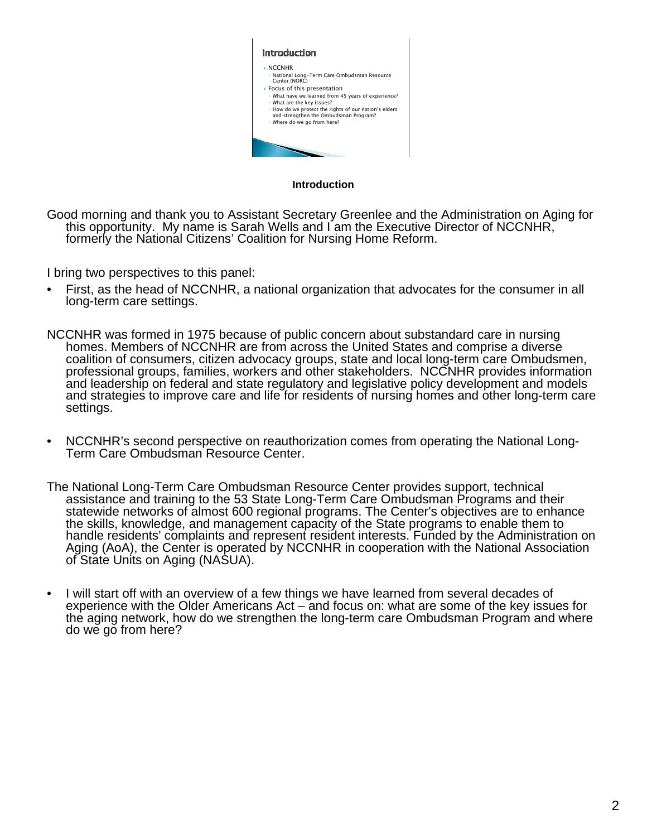

**Introduction**

Good morning and thank you to Assistant Secretary Greenlee and the Administration on Aging for this opportunity. My name is Sarah Wells and I am the Executive Director of NCCNHR, formerly the National Citizens' Coalition for Nursing Home Reform.

I bring two perspectives to this panel:

- First, as the head of NCCNHR, a national organization that advocates for the consumer in all long-term care settings.
- NCCNHR was formed in 1975 because of public concern about substandard care in nursing homes. Members of NCCNHR are from across the United States and comprise a diverse coalition of consumers, citizen advocacy groups, state and local long-term care Ombudsmen, professional groups, families, workers and other stakeholders. NCCNHR provides information and leadership on federal and state regulatory and legislative policy development and models and strategies to improve care and life for residents of nursing homes and other long-term care settings.
- NCCNHR's second perspective on reauthorization comes from operating the National Long- Term Care Ombudsman Resource Center.
- The National Long-Term Care Ombudsman Resource Center provides support, technical assistance and training to the 53 State Long-Term Care Ombudsman Programs and their statewide networks of almost 600 regional programs. The Center's objectives are to enhance the skills, knowledge, and management capacity of the State programs to enable them to handle residents' complaints and represent resident interests. Funded by the Administration on Aging (AoA), the Center is operated by NCCNHR in cooperation with the National Association of State Units on Aging (NASUA).
- I will start off with an overview of a few things we have learned from several decades of experience with the Older Americans Act – and focus on: what are some of the key issues for the aging network, how do we strengthen the long-term care Ombudsman Program and where do we go from here?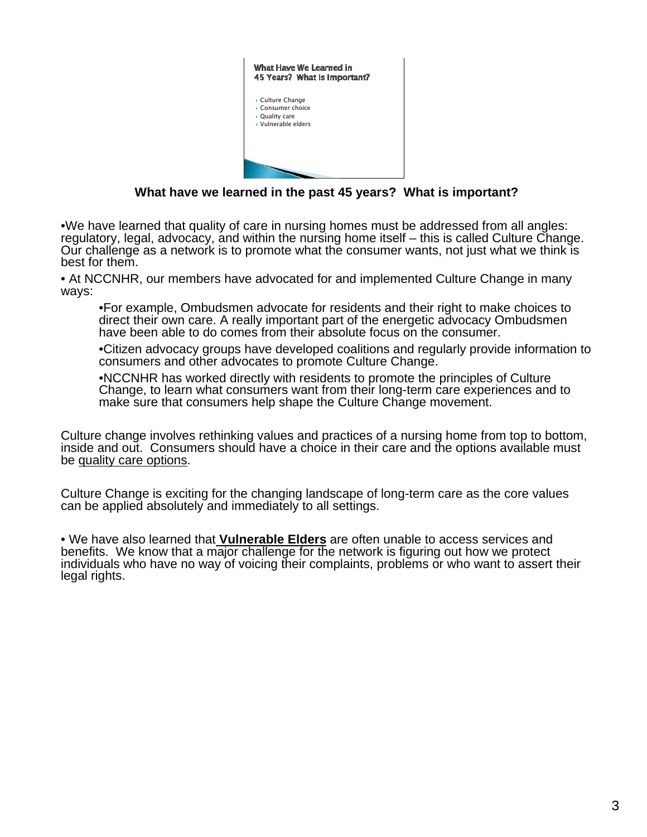

**What have we learned in the past 45 years? What is important?**

•We have learned that quality of care in nursing homes must be addressed from all angles: regulatory, legal, advocacy, and within the nursing home itself – this is called Culture Change. Our challenge as a network is to promote what the consumer wants, not just what we think is best for them.

• At NCCNHR, our members have advocated for and implemented Culture Change in many ways:

•For example, Ombudsmen advocate for residents and their right to make choices to direct their own care. A really important part of the energetic advocacy Ombudsmen have been able to do comes from their absolute focus on the consumer.

•Citizen advocacy groups have developed coalitions and regularly provide information to consumers and other advocates to promote Culture Change.

•NCCNHR has worked directly with residents to promote the principles of Culture Change, to learn what consumers want from their long-term care experiences and to make sure that consumers help shape the Culture Change movement.

Culture change involves rethinking values and practices of a nursing home from top to bottom, inside and out. Consumers should have a choice in their care and the options available must be quality care options.

Culture Change is exciting for the changing landscape of long-term care as the core values can be applied absolutely and immediately to all settings.

• We have also learned that **Vulnerable Elders** are often unable to access services and benefits. We know that a major challenge for the network is figuring out how we protect individuals who have no way of voicing their complaints, problems or who want to assert their legal rights.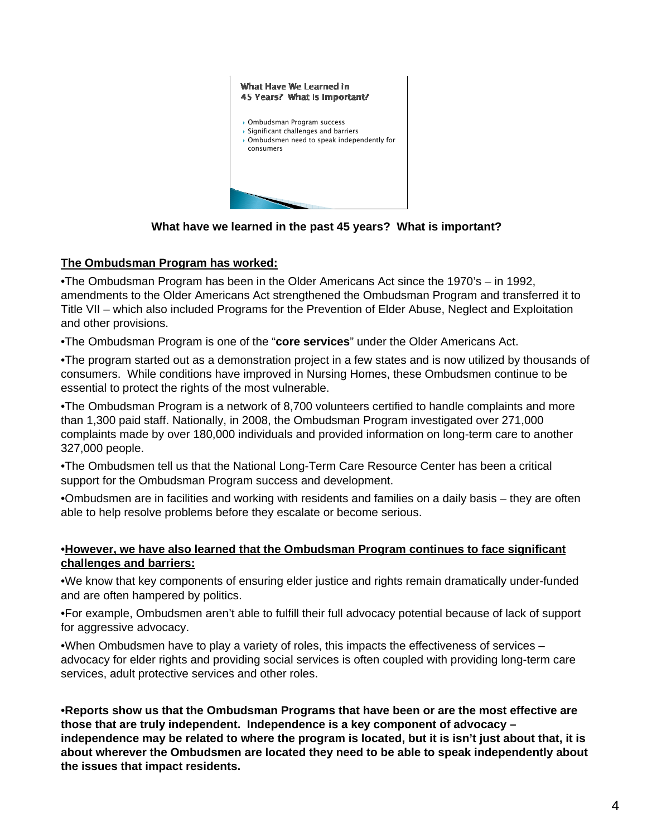

**What have we learned in the past 45 years? What is important?**

#### **The Ombudsman Program has worked:**

•The Ombudsman Program has been in the Older Americans Act since the 1970's – in 1992, amendments to the Older Americans Act strengthened the Ombudsman Program and transferred it to Title VII – which also included Programs for the Prevention of Elder Abuse, Neglect and Exploitation and other provisions.

•The Ombudsman Program is one of the "**core services**" under the Older Americans Act.

•The program started out as a demonstration project in a few states and is now utilized by thousands of consumers. While conditions have improved in Nursing Homes, these Ombudsmen continue to be essential to protect the rights of the most vulnerable.

•The Ombudsman Program is a network of 8,700 volunteers certified to handle complaints and more than 1,300 paid staff. Nationally, in 2008, the Ombudsman Program investigated over 271,000 complaints made by over 180,000 individuals and provided information on long-term care to another 327,000 people.

•The Ombudsmen tell us that the National Long-Term Care Resource Center has been a critical support for the Ombudsman Program success and development.

•Ombudsmen are in facilities and working with residents and families on a daily basis – they are often able to help resolve problems before they escalate or become serious.

#### •**However, we have also learned that the Ombudsman Program continues to face significant challenges and barriers:**

•We know that key components of ensuring elder justice and rights remain dramatically under-funded and are often hampered by politics.

•For example, Ombudsmen aren't able to fulfill their full advocacy potential because of lack of support for aggressive advocacy.

•When Ombudsmen have to play a variety of roles, this impacts the effectiveness of services – advocacy for elder rights and providing social services is often coupled with providing long-term care services, adult protective services and other roles.

•**Reports show us that the Ombudsman Programs that have been or are the most effective are those that are truly independent. Independence is a key component of advocacy – independence may be related to where the program is located, but it is isn't just about that, it is about wherever the Ombudsmen are located they need to be able to speak independently about the issues that impact residents.**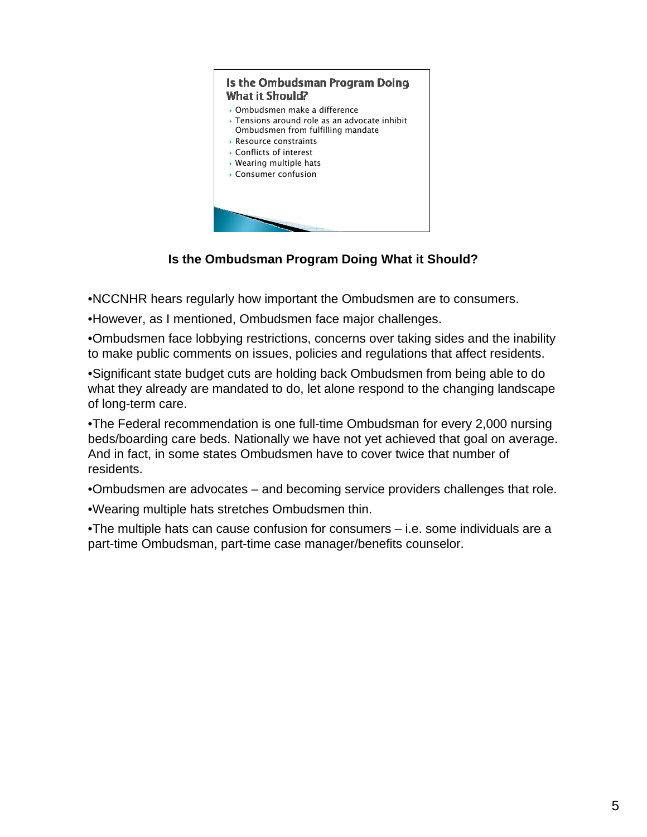

**Is the Ombudsman Program Doing What it Should?**

•NCCNHR hears regularly how important the Ombudsmen are to consumers.

•However, as I mentioned, Ombudsmen face major challenges.

•Ombudsmen face lobbying restrictions, concerns over taking sides and the inability to make public comments on issues, policies and regulations that affect residents.

•Significant state budget cuts are holding back Ombudsmen from being able to do what they already are mandated to do, let alone respond to the changing landscape of long-term care.

•The Federal recommendation is one full-time Ombudsman for every 2,000 nursing beds/boarding care beds. Nationally we have not yet achieved that goal on average. And in fact, in some states Ombudsmen have to cover twice that number of residents.

•Ombudsmen are advocates – and becoming service providers challenges that role.

•Wearing multiple hats stretches Ombudsmen thin.

•The multiple hats can cause confusion for consumers – i.e. some individuals are a part-time Ombudsman, part-time case manager/benefits counselor.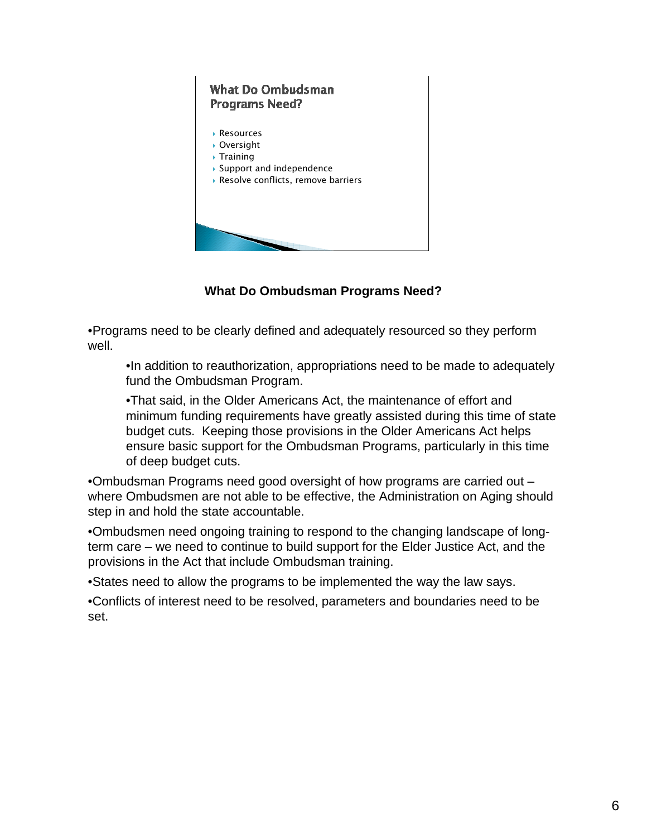

**What Do Ombudsman Programs Need?**

•Programs need to be clearly defined and adequately resourced so they perform well.

•In addition to reauthorization, appropriations need to be made to adequately fund the Ombudsman Program.

•That said, in the Older Americans Act, the maintenance of effort and minimum funding requirements have greatly assisted during this time of state budget cuts. Keeping those provisions in the Older Americans Act helps ensure basic support for the Ombudsman Programs, particularly in this time of deep budget cuts.

•Ombudsman Programs need good oversight of how programs are carried out – where Ombudsmen are not able to be effective, the Administration on Aging should step in and hold the state accountable.

•Ombudsmen need ongoing training to respond to the changing landscape of longterm care – we need to continue to build support for the Elder Justice Act, and the provisions in the Act that include Ombudsman training.

•States need to allow the programs to be implemented the way the law says.

•Conflicts of interest need to be resolved, parameters and boundaries need to be set.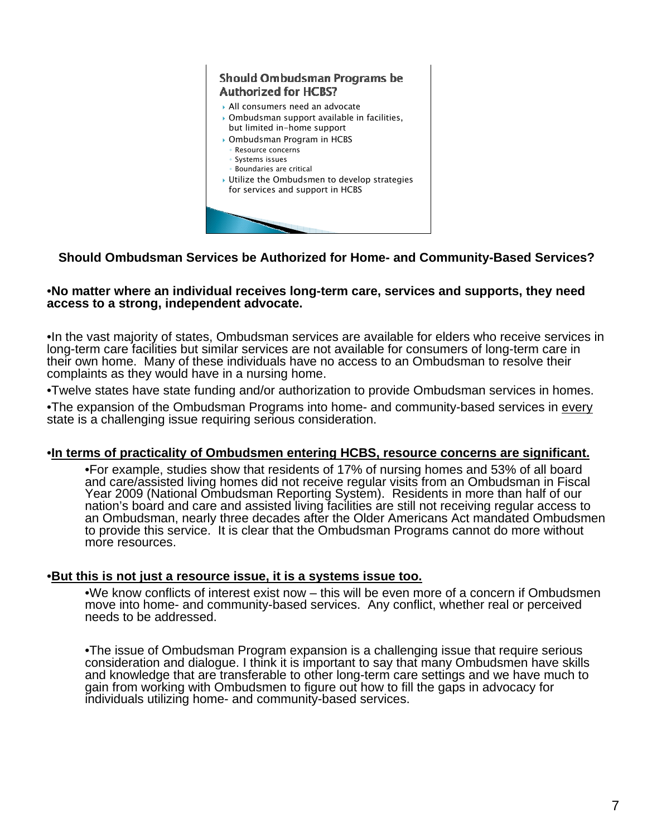

### **Should Ombudsman Services be Authorized for Home- and Community-Based Services?**

#### •**No matter where an individual receives long-term care, services and supports, they need access to a strong, independent advocate.**

•In the vast majority of states, Ombudsman services are available for elders who receive services in long-term care facilities but similar services are not available for consumers of long-term care in their own home. Many of these individuals have no access to an Ombudsman to resolve their complaints as they would have in a nursing home.

•Twelve states have state funding and/or authorization to provide Ombudsman services in homes.

•The expansion of the Ombudsman Programs into home- and community-based services in every state is a challenging issue requiring serious consideration.

#### •**In terms of practicality of Ombudsmen entering HCBS, resource concerns are significant.**

•For example, studies show that residents of 17% of nursing homes and 53% of all board and care/assisted living homes did not receive regular visits from an Ombudsman in Fiscal Year 2009 (National Ombudsman Reporting System). Residents in more than half of our nation's board and care and assisted living facilities are still not receiving regular access to an Ombudsman, nearly three decades after the Older Americans Act mandated Ombudsmen to provide this service. It is clear that the Ombudsman Programs cannot do more without more resources.

#### •**But this is not just a resource issue, it is a systems issue too.**

•We know conflicts of interest exist now – this will be even more of a concern if Ombudsmen move into home- and community-based services. Any conflict, whether real or perceived needs to be addressed.

•The issue of Ombudsman Program expansion is a challenging issue that require serious consideration and dialogue. I think it is important to say that many Ombudsmen have skills and knowledge that are transferable to other long-term care settings and we have much to gain from working with Ombudsmen to figure out how to fill the gaps in advocacy for individuals utilizing home- and community-based services.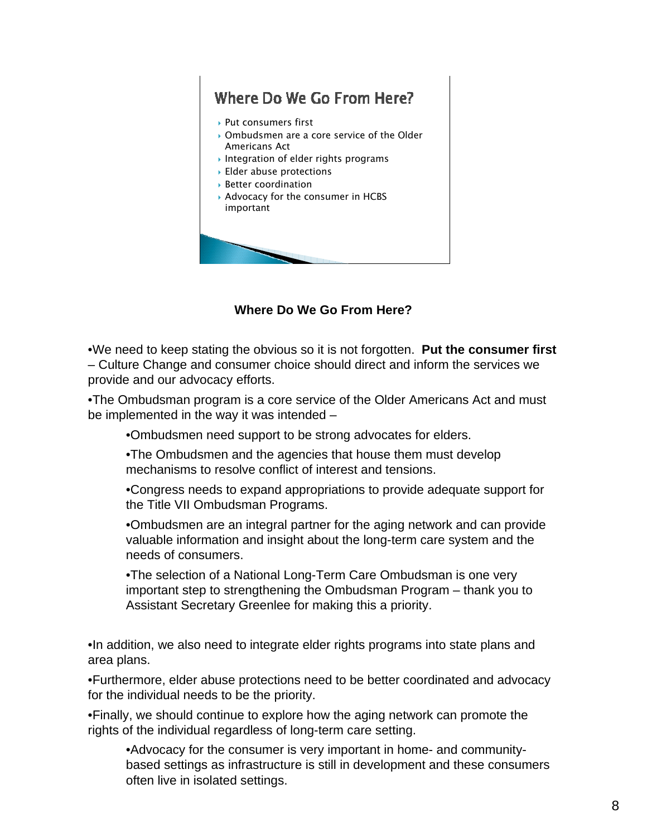# Where Do We Go From Here?

- ▶ Put consumers first
- Ombudsmen are a core service of the Older Americans Act
- Integration of elder rights programs
- Elder abuse protections
- Better coordination
- Advocacy for the consumer in HCBS important



**Where Do We Go From Here?**

•We need to keep stating the obvious so it is not forgotten. **Put the consumer first** – Culture Change and consumer choice should direct and inform the services we provide and our advocacy efforts.

•The Ombudsman program is a core service of the Older Americans Act and must be implemented in the way it was intended –

•Ombudsmen need support to be strong advocates for elders.

•The Ombudsmen and the agencies that house them must develop mechanisms to resolve conflict of interest and tensions.

•Congress needs to expand appropriations to provide adequate support for the Title VII Ombudsman Programs.

•Ombudsmen are an integral partner for the aging network and can provide valuable information and insight about the long-term care system and the needs of consumers.

•The selection of a National Long-Term Care Ombudsman is one very important step to strengthening the Ombudsman Program – thank you to Assistant Secretary Greenlee for making this a priority.

•In addition, we also need to integrate elder rights programs into state plans and area plans.

•Furthermore, elder abuse protections need to be better coordinated and advocacy for the individual needs to be the priority.

•Finally, we should continue to explore how the aging network can promote the rights of the individual regardless of long-term care setting.

•Advocacy for the consumer is very important in home- and communitybased settings as infrastructure is still in development and these consumers often live in isolated settings.